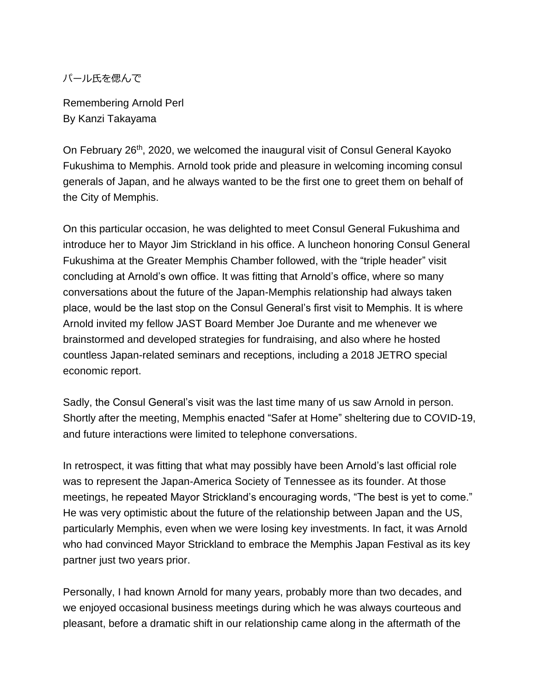パール氏を偲んで

Remembering Arnold Perl By Kanzi Takayama

On February 26th, 2020, we welcomed the inaugural visit of Consul General Kayoko Fukushima to Memphis. Arnold took pride and pleasure in welcoming incoming consul generals of Japan, and he always wanted to be the first one to greet them on behalf of the City of Memphis.

On this particular occasion, he was delighted to meet Consul General Fukushima and introduce her to Mayor Jim Strickland in his office. A luncheon honoring Consul General Fukushima at the Greater Memphis Chamber followed, with the "triple header" visit concluding at Arnold's own office. It was fitting that Arnold's office, where so many conversations about the future of the Japan-Memphis relationship had always taken place, would be the last stop on the Consul General's first visit to Memphis. It is where Arnold invited my fellow JAST Board Member Joe Durante and me whenever we brainstormed and developed strategies for fundraising, and also where he hosted countless Japan-related seminars and receptions, including a 2018 JETRO special economic report.

Sadly, the Consul General's visit was the last time many of us saw Arnold in person. Shortly after the meeting, Memphis enacted "Safer at Home" sheltering due to COVID-19, and future interactions were limited to telephone conversations.

In retrospect, it was fitting that what may possibly have been Arnold's last official role was to represent the Japan-America Society of Tennessee as its founder. At those meetings, he repeated Mayor Strickland's encouraging words, "The best is yet to come." He was very optimistic about the future of the relationship between Japan and the US, particularly Memphis, even when we were losing key investments. In fact, it was Arnold who had convinced Mayor Strickland to embrace the Memphis Japan Festival as its key partner just two years prior.

Personally, I had known Arnold for many years, probably more than two decades, and we enjoyed occasional business meetings during which he was always courteous and pleasant, before a dramatic shift in our relationship came along in the aftermath of the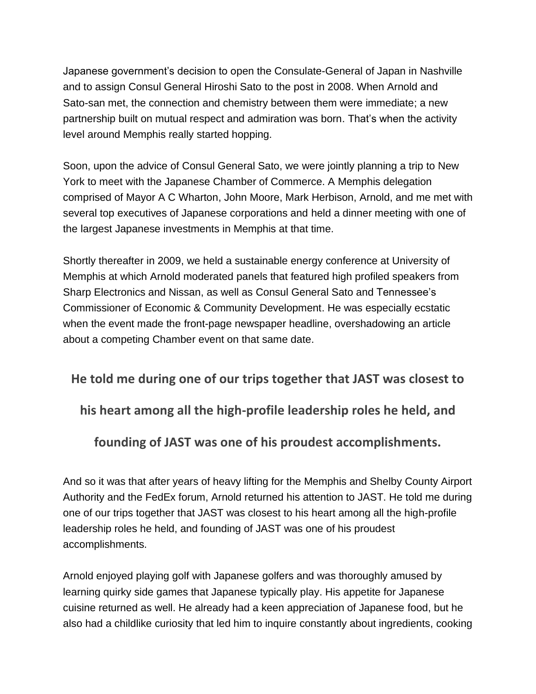Japanese government's decision to open the Consulate-General of Japan in Nashville and to assign Consul General Hiroshi Sato to the post in 2008. When Arnold and Sato-san met, the connection and chemistry between them were immediate; a new partnership built on mutual respect and admiration was born. That's when the activity level around Memphis really started hopping.

Soon, upon the advice of Consul General Sato, we were jointly planning a trip to New York to meet with the Japanese Chamber of Commerce. A Memphis delegation comprised of Mayor A C Wharton, John Moore, Mark Herbison, Arnold, and me met with several top executives of Japanese corporations and held a dinner meeting with one of the largest Japanese investments in Memphis at that time.

Shortly thereafter in 2009, we held a sustainable energy conference at University of Memphis at which Arnold moderated panels that featured high profiled speakers from Sharp Electronics and Nissan, as well as Consul General Sato and Tennessee's Commissioner of Economic & Community Development. He was especially ecstatic when the event made the front-page newspaper headline, overshadowing an article about a competing Chamber event on that same date.

## **He told me during one of our trips together that JAST was closest to**

**his heart among all the high-profile leadership roles he held, and** 

**founding of JAST was one of his proudest accomplishments.**

And so it was that after years of heavy lifting for the Memphis and Shelby County Airport Authority and the FedEx forum, Arnold returned his attention to JAST. He told me during one of our trips together that JAST was closest to his heart among all the high-profile leadership roles he held, and founding of JAST was one of his proudest accomplishments.

Arnold enjoyed playing golf with Japanese golfers and was thoroughly amused by learning quirky side games that Japanese typically play. His appetite for Japanese cuisine returned as well. He already had a keen appreciation of Japanese food, but he also had a childlike curiosity that led him to inquire constantly about ingredients, cooking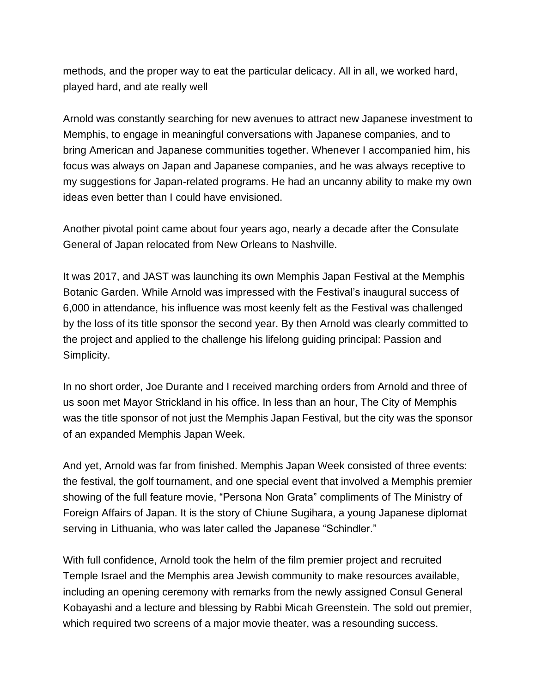methods, and the proper way to eat the particular delicacy. All in all, we worked hard, played hard, and ate really well

Arnold was constantly searching for new avenues to attract new Japanese investment to Memphis, to engage in meaningful conversations with Japanese companies, and to bring American and Japanese communities together. Whenever I accompanied him, his focus was always on Japan and Japanese companies, and he was always receptive to my suggestions for Japan-related programs. He had an uncanny ability to make my own ideas even better than I could have envisioned.

Another pivotal point came about four years ago, nearly a decade after the Consulate General of Japan relocated from New Orleans to Nashville.

It was 2017, and JAST was launching its own Memphis Japan Festival at the Memphis Botanic Garden. While Arnold was impressed with the Festival's inaugural success of 6,000 in attendance, his influence was most keenly felt as the Festival was challenged by the loss of its title sponsor the second year. By then Arnold was clearly committed to the project and applied to the challenge his lifelong guiding principal: Passion and Simplicity.

In no short order, Joe Durante and I received marching orders from Arnold and three of us soon met Mayor Strickland in his office. In less than an hour, The City of Memphis was the title sponsor of not just the Memphis Japan Festival, but the city was the sponsor of an expanded Memphis Japan Week.

And yet, Arnold was far from finished. Memphis Japan Week consisted of three events: the festival, the golf tournament, and one special event that involved a Memphis premier showing of the full feature movie, "Persona Non Grata" compliments of The Ministry of Foreign Affairs of Japan. It is the story of Chiune Sugihara, a young Japanese diplomat serving in Lithuania, who was later called the Japanese "Schindler."

With full confidence, Arnold took the helm of the film premier project and recruited Temple Israel and the Memphis area Jewish community to make resources available, including an opening ceremony with remarks from the newly assigned Consul General Kobayashi and a lecture and blessing by Rabbi Micah Greenstein. The sold out premier, which required two screens of a major movie theater, was a resounding success.